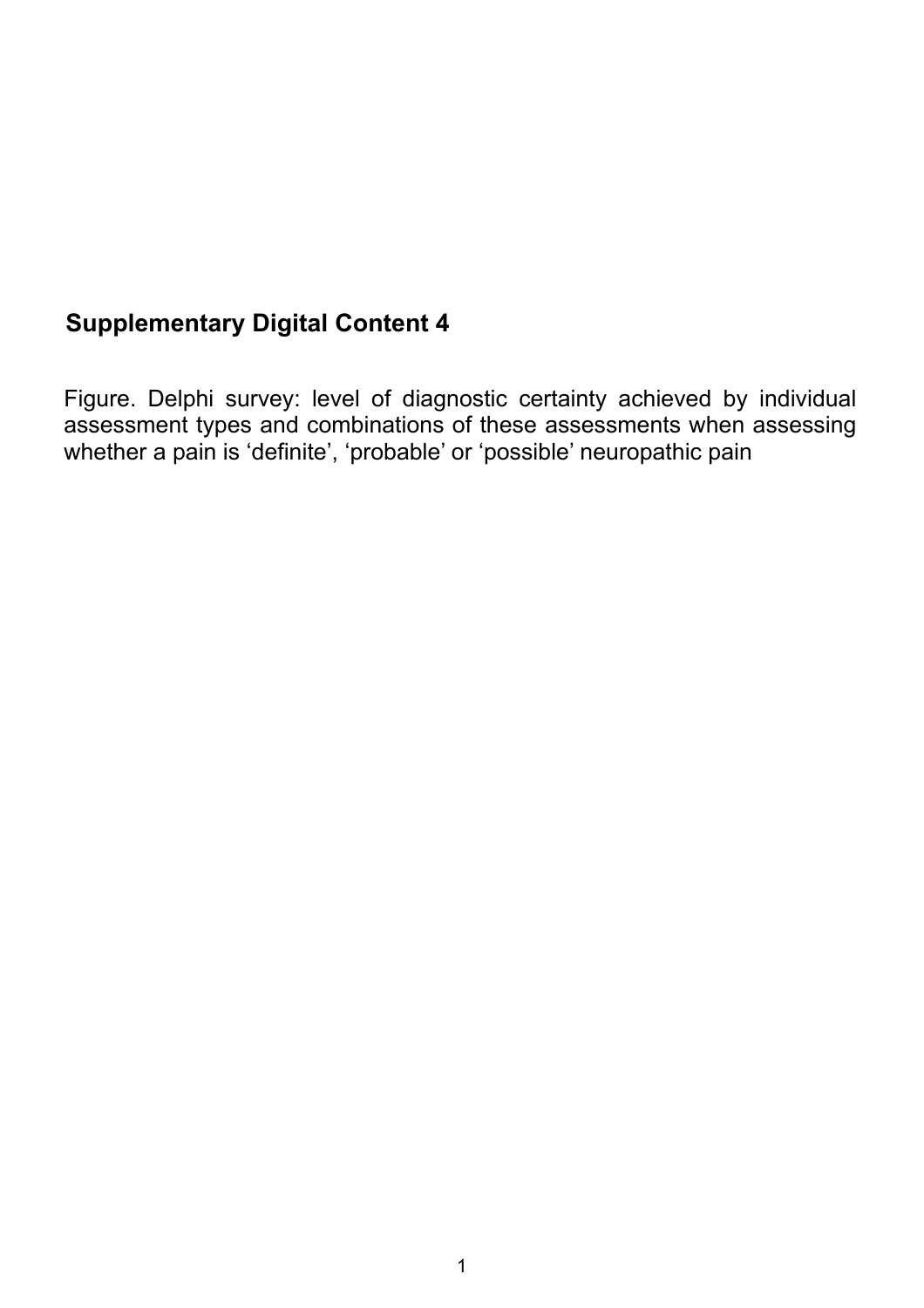## **Supplementary Digital Content 4**

Figure. Delphi survey: level of diagnostic certainty achieved by individual assessment types and combinations of these assessments when assessing whether a pain is 'definite', 'probable' or 'possible' neuropathic pain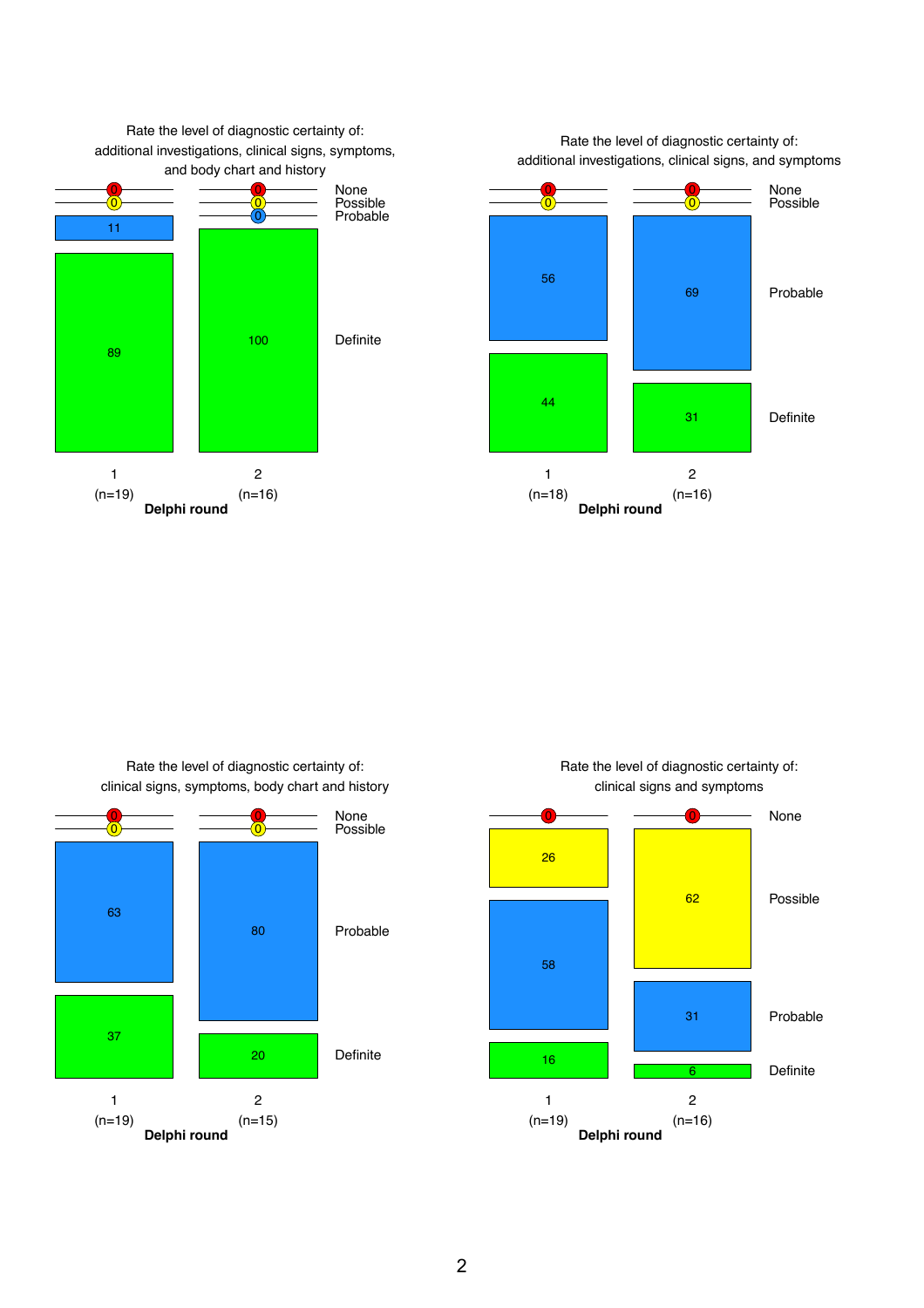

Rate the level of diagnostic certainty of: clinical signs, symptoms, body chart and history



Rate the level of diagnostic certainty of: clinical signs and symptoms

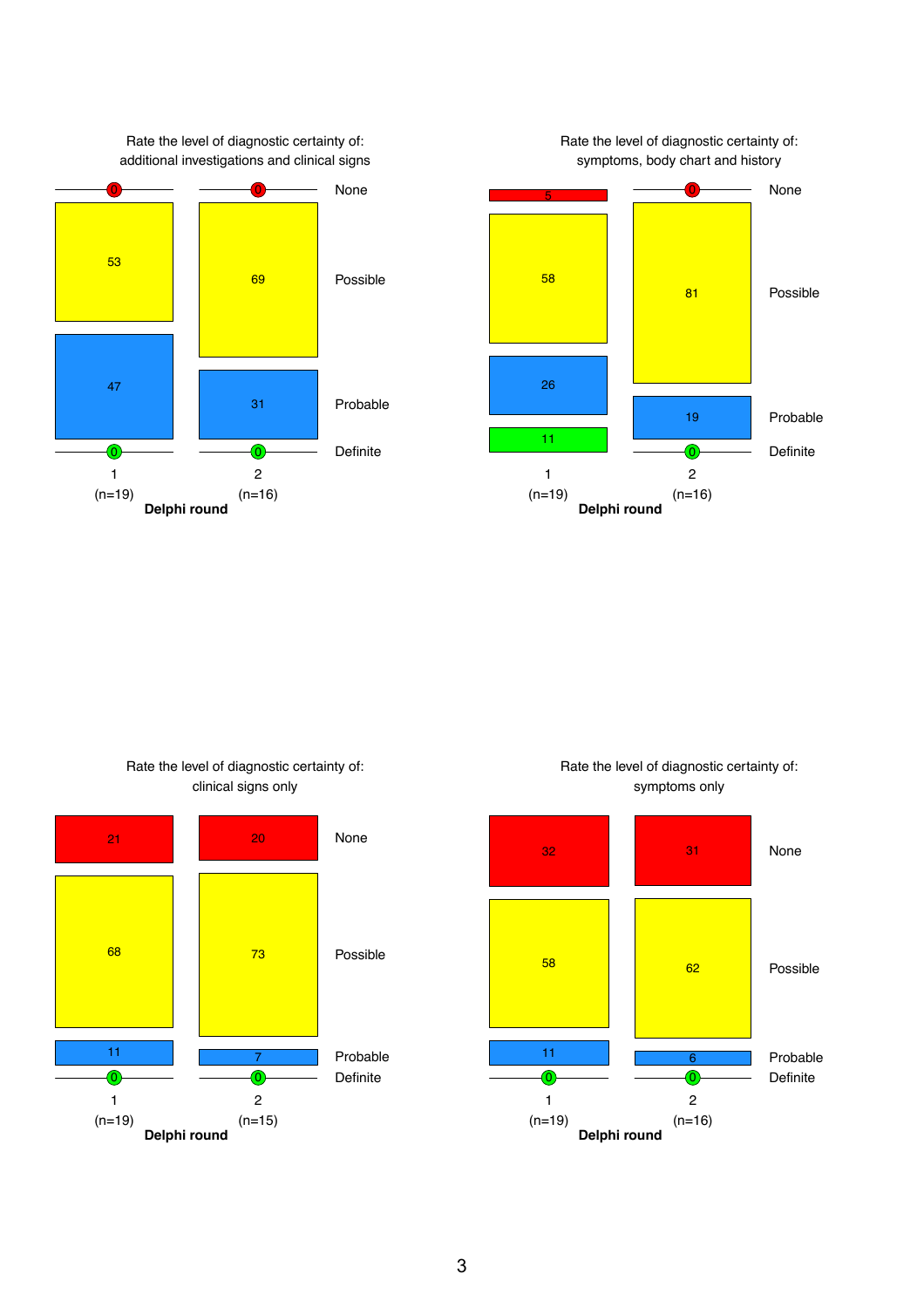



Rate the level of diagnostic certainty of: clinical signs only



Rate the level of diagnostic certainty of: symptoms only